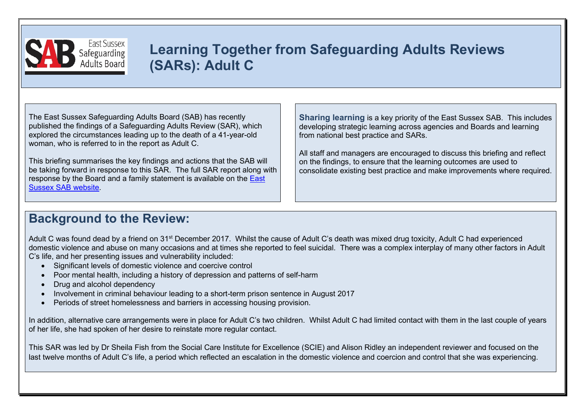

# **Learning Together from Safeguarding Adults Reviews (SARs): Adult C**

The East Sussex Safeguarding Adults Board (SAB) has recently published the findings of a Safeguarding Adults Review (SAR), which explored the circumstances leading up to the death of a 41-year-old woman, who is referred to in the report as Adult C.

This briefing summarises the key findings and actions that the SAB will be taking forward in response to this SAR. The full SAR report along with response by the Board and a family statement is available on the [East](https://www.eastsussexsab.org.uk/documents/adult-c-sar-published-december-2020-2/)  [Sussex SAB website.](https://www.eastsussexsab.org.uk/documents/adult-c-sar-published-december-2020-2/)

**Sharing learning** is a key priority of the East Sussex SAB. This includes developing strategic learning across agencies and Boards and learning from national best practice and SARs.

All staff and managers are encouraged to discuss this briefing and reflect on the findings, to ensure that the learning outcomes are used to consolidate existing best practice and make improvements where required.

## **Background to the Review:**

Adult C was found dead by a friend on 31<sup>st</sup> December 2017. Whilst the cause of Adult C's death was mixed drug toxicity, Adult C had experienced domestic violence and abuse on many occasions and at times she reported to feel suicidal. There was a complex interplay of many other factors in Adult C's life, and her presenting issues and vulnerability included:

- Significant levels of domestic violence and coercive control
- Poor mental health, including a history of depression and patterns of self-harm
- Drug and alcohol dependency
- Involvement in criminal behaviour leading to a short-term prison sentence in August 2017
- Periods of street homelessness and barriers in accessing housing provision.

In addition, alternative care arrangements were in place for Adult C's two children. Whilst Adult C had limited contact with them in the last couple of years of her life, she had spoken of her desire to reinstate more regular contact.

This SAR was led by Dr Sheila Fish from the Social Care Institute for Excellence (SCIE) and Alison Ridley an independent reviewer and focused on the last twelve months of Adult C's life, a period which reflected an escalation in the domestic violence and coercion and control that she was experiencing.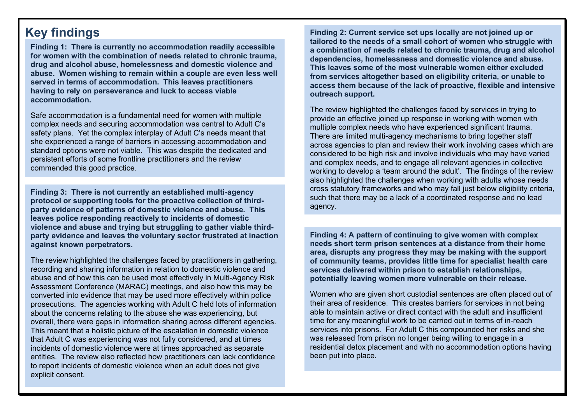### **Key findings**

**Finding 1: There is currently no accommodation readily accessible for women with the combination of needs related to chronic trauma, drug and alcohol abuse, homelessness and domestic violence and abuse. Women wishing to remain within a couple are even less well served in terms of accommodation. This leaves practitioners having to rely on perseverance and luck to access viable accommodation.**

Safe accommodation is a fundamental need for women with multiple complex needs and securing accommodation was central to Adult C's safety plans. Yet the complex interplay of Adult C's needs meant that she experienced a range of barriers in accessing accommodation and standard options were not viable. This was despite the dedicated and persistent efforts of some frontline practitioners and the review commended this good practice.

**Finding 3: There is not currently an established multi-agency protocol or supporting tools for the proactive collection of thirdparty evidence of patterns of domestic violence and abuse. This leaves police responding reactively to incidents of domestic violence and abuse and trying but struggling to gather viable thirdparty evidence and leaves the voluntary sector frustrated at inaction against known perpetrators.**

The review highlighted the challenges faced by practitioners in gathering, recording and sharing information in relation to domestic violence and abuse and of how this can be used most effectively in Multi-Agency Risk Assessment Conference (MARAC) meetings, and also how this may be converted into evidence that may be used more effectively within police prosecutions. The agencies working with Adult C held lots of information about the concerns relating to the abuse she was experiencing, but overall, there were gaps in information sharing across different agencies. This meant that a holistic picture of the escalation in domestic violence that Adult C was experiencing was not fully considered, and at times incidents of domestic violence were at times approached as separate entities. The review also reflected how practitioners can lack confidence to report incidents of domestic violence when an adult does not give explicit consent.

**Finding 2: Current service set ups locally are not joined up or tailored to the needs of a small cohort of women who struggle with a combination of needs related to chronic trauma, drug and alcohol dependencies, homelessness and domestic violence and abuse. This leaves some of the most vulnerable women either excluded from services altogether based on eligibility criteria, or unable to access them because of the lack of proactive, flexible and intensive outreach support.**

The review highlighted the challenges faced by services in trying to provide an effective joined up response in working with women with multiple complex needs who have experienced significant trauma. There are limited multi-agency mechanisms to bring together staff across agencies to plan and review their work involving cases which are considered to be high risk and involve individuals who may have varied and complex needs, and to engage all relevant agencies in collective working to develop a 'team around the adult'. The findings of the review also highlighted the challenges when working with adults whose needs cross statutory frameworks and who may fall just below eligibility criteria, such that there may be a lack of a coordinated response and no lead agency.

**Finding 4: A pattern of continuing to give women with complex needs short term prison sentences at a distance from their home area, disrupts any progress they may be making with the support of community teams, provides little time for specialist health care services delivered within prison to establish relationships, potentially leaving women more vulnerable on their release.**

Women who are given short custodial sentences are often placed out of their area of residence. This creates barriers for services in not being able to maintain active or direct contact with the adult and insufficient time for any meaningful work to be carried out in terms of in-reach services into prisons. For Adult C this compounded her risks and she was released from prison no longer being willing to engage in a residential detox placement and with no accommodation options having been put into place.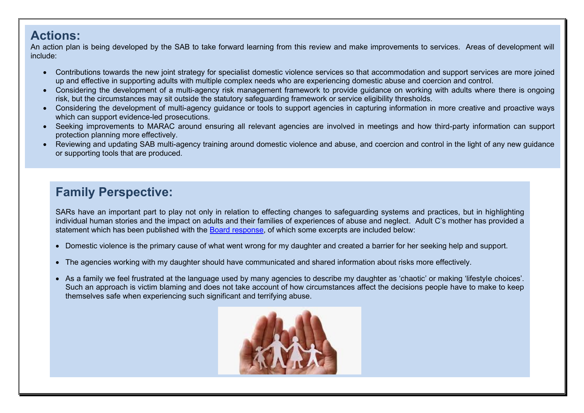#### **Actions:**

An action plan is being developed by the SAB to take forward learning from this review and make improvements to services. Areas of development will include:

- Contributions towards the new joint strategy for specialist domestic violence services so that accommodation and support services are more joined up and effective in supporting adults with multiple complex needs who are experiencing domestic abuse and coercion and control.
- Considering the development of a multi-agency risk management framework to provide guidance on working with adults where there is ongoing risk, but the circumstances may sit outside the statutory safeguarding framework or service eligibility thresholds.
- Considering the development of multi-agency quidance or tools to support agencies in capturing information in more creative and proactive ways which can support evidence-led prosecutions.
- Seeking improvements to MARAC around ensuring all relevant agencies are involved in meetings and how third-party information can support protection planning more effectively.
- Reviewing and updating SAB multi-agency training around domestic violence and abuse, and coercion and control in the light of any new guidance or supporting tools that are produced.

# **Family Perspective:**

SARs have an important part to play not only in relation to effecting changes to safeguarding systems and practices, but in highlighting individual human stories and the impact on adults and their families of experiences of abuse and neglect. Adult C's mother has provided a statement which has been published with the [Board response,](https://www.eastsussexsab.org.uk/wp-content/uploads/2020/12/ESSAB-Response-Adult-C-SAR-Oct-2020-final.docx) of which some excerpts are included below:

- Domestic violence is the primary cause of what went wrong for my daughter and created a barrier for her seeking help and support.
- The agencies working with my daughter should have communicated and shared information about risks more effectively.
- As a family we feel frustrated at the language used by many agencies to describe my daughter as 'chaotic' or making 'lifestyle choices'. Such an approach is victim blaming and does not take account of how circumstances affect the decisions people have to make to keep themselves safe when experiencing such significant and terrifying abuse.